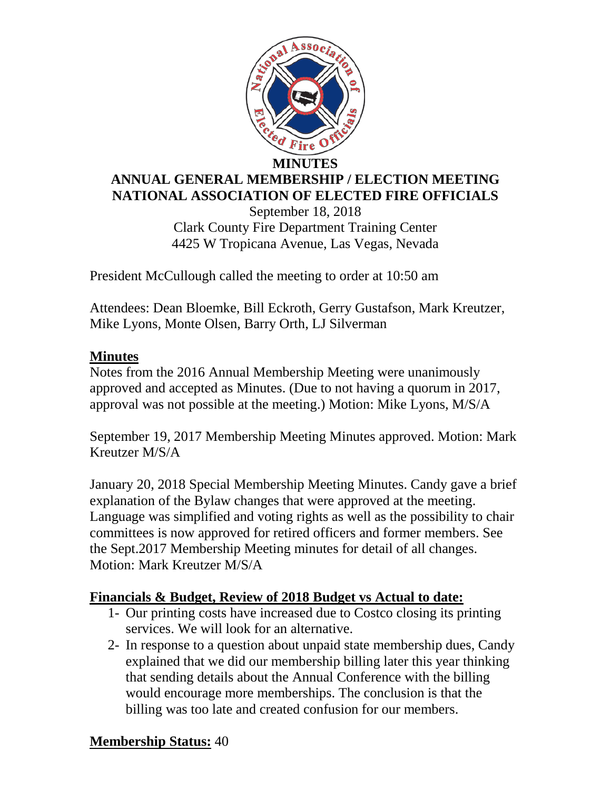

# **ANNUAL GENERAL MEMBERSHIP / ELECTION MEETING NATIONAL ASSOCIATION OF ELECTED FIRE OFFICIALS**

September 18, 2018 Clark County Fire Department Training Center 4425 W Tropicana Avenue, Las Vegas, Nevada

President McCullough called the meeting to order at 10:50 am

Attendees: Dean Bloemke, Bill Eckroth, Gerry Gustafson, Mark Kreutzer, Mike Lyons, Monte Olsen, Barry Orth, LJ Silverman

# **Minutes**

Notes from the 2016 Annual Membership Meeting were unanimously approved and accepted as Minutes. (Due to not having a quorum in 2017, approval was not possible at the meeting.) Motion: Mike Lyons, M/S/A

September 19, 2017 Membership Meeting Minutes approved. Motion: Mark Kreutzer M/S/A

January 20, 2018 Special Membership Meeting Minutes. Candy gave a brief explanation of the Bylaw changes that were approved at the meeting. Language was simplified and voting rights as well as the possibility to chair committees is now approved for retired officers and former members. See the Sept.2017 Membership Meeting minutes for detail of all changes. Motion: Mark Kreutzer M/S/A

### **Financials & Budget, Review of 2018 Budget vs Actual to date:**

- 1- Our printing costs have increased due to Costco closing its printing services. We will look for an alternative.
- 2- In response to a question about unpaid state membership dues, Candy explained that we did our membership billing later this year thinking that sending details about the Annual Conference with the billing would encourage more memberships. The conclusion is that the billing was too late and created confusion for our members.

### **Membership Status:** 40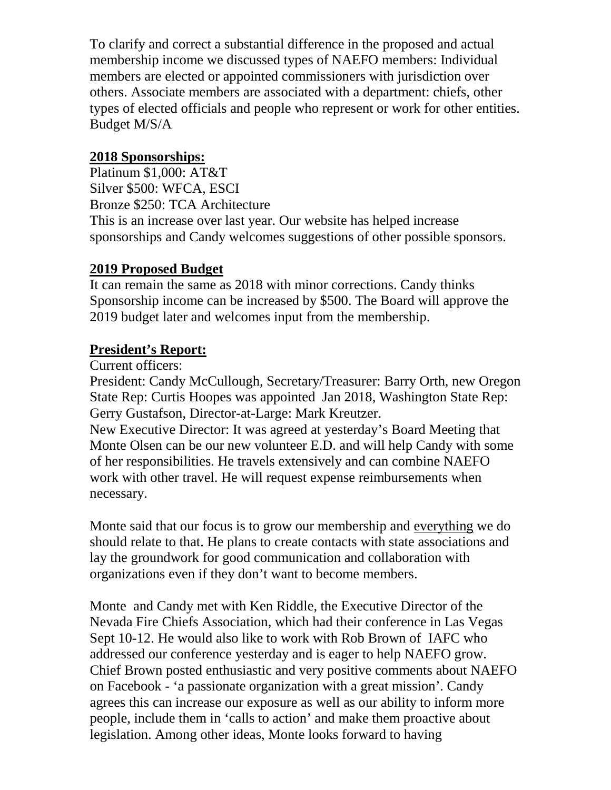To clarify and correct a substantial difference in the proposed and actual membership income we discussed types of NAEFO members: Individual members are elected or appointed commissioners with jurisdiction over others. Associate members are associated with a department: chiefs, other types of elected officials and people who represent or work for other entities. Budget M/S/A

### **2018 Sponsorships:**

Platinum \$1,000: AT&T Silver \$500: WFCA, ESCI Bronze \$250: TCA Architecture This is an increase over last year. Our website has helped increase sponsorships and Candy welcomes suggestions of other possible sponsors.

### **2019 Proposed Budget**

It can remain the same as 2018 with minor corrections. Candy thinks Sponsorship income can be increased by \$500. The Board will approve the 2019 budget later and welcomes input from the membership.

# **President's Report:**

Current officers:

President: Candy McCullough, Secretary/Treasurer: Barry Orth, new Oregon State Rep: Curtis Hoopes was appointed Jan 2018, Washington State Rep: Gerry Gustafson, Director-at-Large: Mark Kreutzer.

New Executive Director: It was agreed at yesterday's Board Meeting that Monte Olsen can be our new volunteer E.D. and will help Candy with some of her responsibilities. He travels extensively and can combine NAEFO work with other travel. He will request expense reimbursements when necessary.

Monte said that our focus is to grow our membership and everything we do should relate to that. He plans to create contacts with state associations and lay the groundwork for good communication and collaboration with organizations even if they don't want to become members.

Monte and Candy met with Ken Riddle, the Executive Director of the Nevada Fire Chiefs Association, which had their conference in Las Vegas Sept 10-12. He would also like to work with Rob Brown of IAFC who addressed our conference yesterday and is eager to help NAEFO grow. Chief Brown posted enthusiastic and very positive comments about NAEFO on Facebook - 'a passionate organization with a great mission'. Candy agrees this can increase our exposure as well as our ability to inform more people, include them in 'calls to action' and make them proactive about legislation. Among other ideas, Monte looks forward to having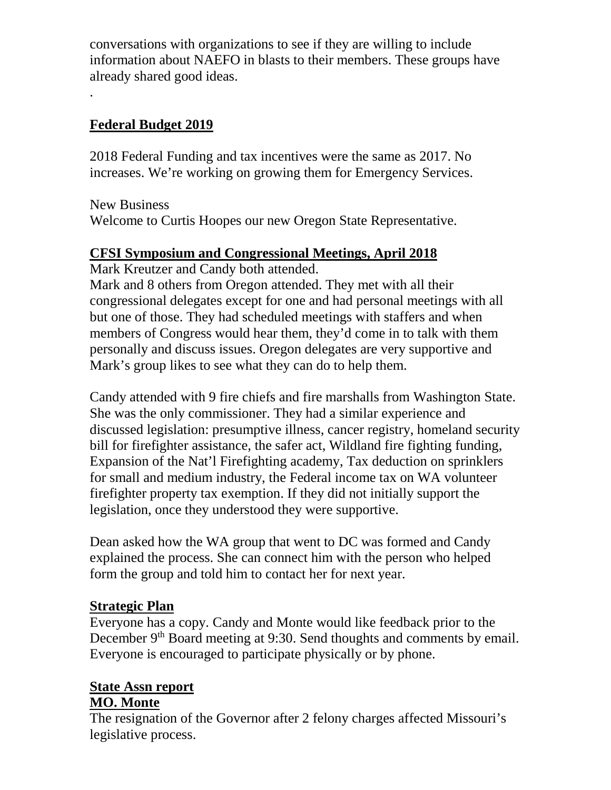conversations with organizations to see if they are willing to include information about NAEFO in blasts to their members. These groups have already shared good ideas. .

### **Federal Budget 2019**

2018 Federal Funding and tax incentives were the same as 2017. No increases. We're working on growing them for Emergency Services.

New Business

Welcome to Curtis Hoopes our new Oregon State Representative.

#### **CFSI Symposium and Congressional Meetings, April 2018**

Mark Kreutzer and Candy both attended.

Mark and 8 others from Oregon attended. They met with all their congressional delegates except for one and had personal meetings with all but one of those. They had scheduled meetings with staffers and when members of Congress would hear them, they'd come in to talk with them personally and discuss issues. Oregon delegates are very supportive and Mark's group likes to see what they can do to help them.

Candy attended with 9 fire chiefs and fire marshalls from Washington State. She was the only commissioner. They had a similar experience and discussed legislation: presumptive illness, cancer registry, homeland security bill for firefighter assistance, the safer act, Wildland fire fighting funding, Expansion of the Nat'l Firefighting academy, Tax deduction on sprinklers for small and medium industry, the Federal income tax on WA volunteer firefighter property tax exemption. If they did not initially support the legislation, once they understood they were supportive.

Dean asked how the WA group that went to DC was formed and Candy explained the process. She can connect him with the person who helped form the group and told him to contact her for next year.

### **Strategic Plan**

Everyone has a copy. Candy and Monte would like feedback prior to the December 9<sup>th</sup> Board meeting at 9:30. Send thoughts and comments by email. Everyone is encouraged to participate physically or by phone.

#### **State Assn report MO. Monte**

The resignation of the Governor after 2 felony charges affected Missouri's legislative process.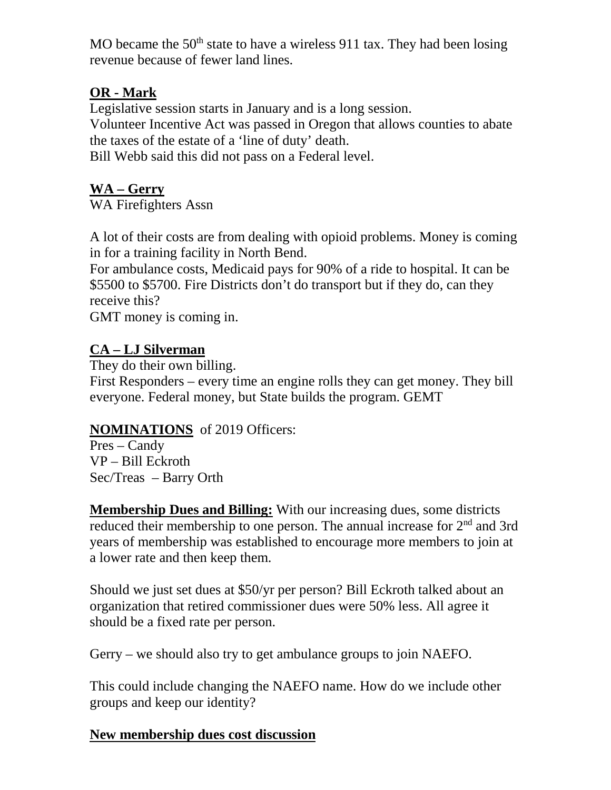MO became the  $50<sup>th</sup>$  state to have a wireless 911 tax. They had been losing revenue because of fewer land lines.

# **OR - Mark**

Legislative session starts in January and is a long session. Volunteer Incentive Act was passed in Oregon that allows counties to abate the taxes of the estate of a 'line of duty' death.

Bill Webb said this did not pass on a Federal level.

# **WA – Gerry**

WA Firefighters Assn

A lot of their costs are from dealing with opioid problems. Money is coming in for a training facility in North Bend.

For ambulance costs, Medicaid pays for 90% of a ride to hospital. It can be \$5500 to \$5700. Fire Districts don't do transport but if they do, can they receive this?

GMT money is coming in.

# **CA – LJ Silverman**

They do their own billing.

First Responders – every time an engine rolls they can get money. They bill everyone. Federal money, but State builds the program. GEMT

# **NOMINATIONS** of 2019 Officers:

Pres – Candy VP – Bill Eckroth Sec/Treas – Barry Orth

**Membership Dues and Billing:** With our increasing dues, some districts reduced their membership to one person. The annual increase for 2<sup>nd</sup> and 3rd years of membership was established to encourage more members to join at a lower rate and then keep them.

Should we just set dues at \$50/yr per person? Bill Eckroth talked about an organization that retired commissioner dues were 50% less. All agree it should be a fixed rate per person.

Gerry – we should also try to get ambulance groups to join NAEFO.

This could include changing the NAEFO name. How do we include other groups and keep our identity?

# **New membership dues cost discussion**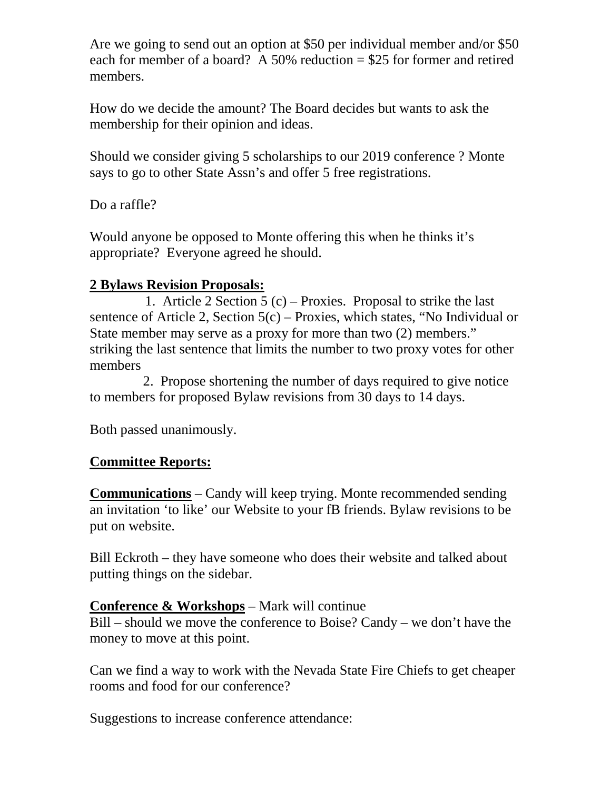Are we going to send out an option at \$50 per individual member and/or \$50 each for member of a board? A 50% reduction  $= $25$  for former and retired members.

How do we decide the amount? The Board decides but wants to ask the membership for their opinion and ideas.

Should we consider giving 5 scholarships to our 2019 conference ? Monte says to go to other State Assn's and offer 5 free registrations.

Do a raffle?

Would anyone be opposed to Monte offering this when he thinks it's appropriate? Everyone agreed he should.

### **2 Bylaws Revision Proposals:**

 1. Article 2 Section 5 (c) – Proxies. Proposal to strike the last sentence of Article 2, Section 5(c) – Proxies, which states, "No Individual or State member may serve as a proxy for more than two (2) members." striking the last sentence that limits the number to two proxy votes for other members

 2. Propose shortening the number of days required to give notice to members for proposed Bylaw revisions from 30 days to 14 days.

Both passed unanimously.

# **Committee Reports:**

**Communications** – Candy will keep trying. Monte recommended sending an invitation 'to like' our Website to your fB friends. Bylaw revisions to be put on website.

Bill Eckroth – they have someone who does their website and talked about putting things on the sidebar.

### **Conference & Workshops** – Mark will continue

Bill – should we move the conference to Boise? Candy – we don't have the money to move at this point.

Can we find a way to work with the Nevada State Fire Chiefs to get cheaper rooms and food for our conference?

Suggestions to increase conference attendance: